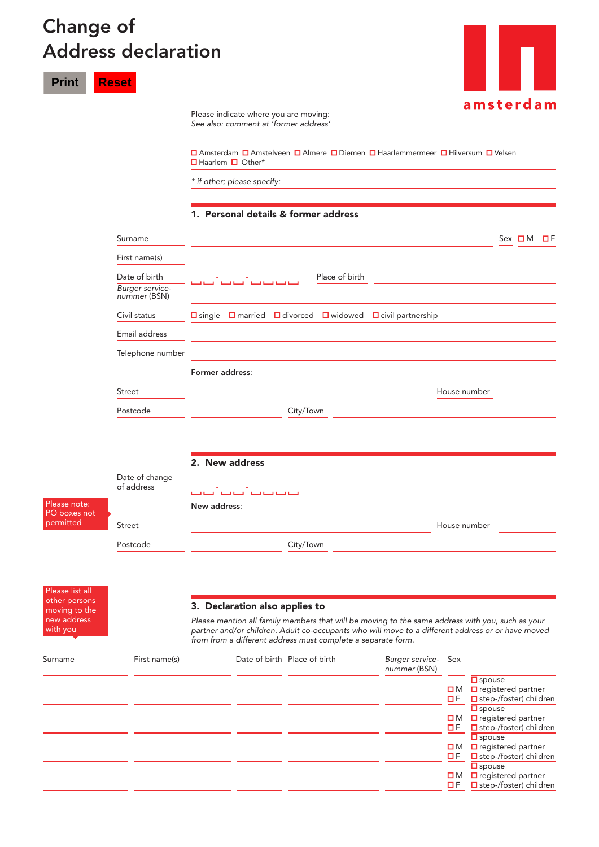## Change of Address declaration

**Print Reset**



Please indicate where you are moving: *See also: comment at 'former address'* 

 Amsterdam Amstelveen Almere Diemen Haarlemmermeer Hilversum Velsen ■Haarlem ■ Other\*

*\* if other; please specify:*

## 1. Personal details & former address

| Surname                         |                                                                                               | $Sex$ $\Box M$ $\Box F$ |  |
|---------------------------------|-----------------------------------------------------------------------------------------------|-------------------------|--|
| First name(s)                   |                                                                                               |                         |  |
| Date of birth                   | Place of birth<br>المساكسة لمساكسة المساكسة المساكسة                                          |                         |  |
| Burger service-<br>nummer (BSN) |                                                                                               |                         |  |
| Civil status                    | $\Box$ married $\Box$ divorced $\Box$ widowed<br>$\Box$ civil partnership<br>$\square$ single |                         |  |
| Email address                   |                                                                                               |                         |  |
| Telephone number                |                                                                                               |                         |  |
|                                 | Former address:                                                                               |                         |  |
| Street                          | House number                                                                                  |                         |  |
| Postcode                        | City/Town                                                                                     |                         |  |
|                                 |                                                                                               |                         |  |
|                                 | 2. New address                                                                                |                         |  |
| Date of change<br>of address    | فتتوقف فتوقين المتوقين المتوقين                                                               |                         |  |
|                                 | New address:                                                                                  |                         |  |
| Street                          | House number                                                                                  |                         |  |
|                                 |                                                                                               |                         |  |

Please list all other persons moving to the new address with you

Please note: PO boxes not permitted

## 3. Declaration also applies to

*Please mention all family members that will be moving to the same address with you, such as your partner and/or children. Adult co-occupants who will move to a different address or or have moved from from a different address must complete a separate form.*

| Surname | First name(s) | Date of birth Place of birth | Burger service- Sex<br>nummer (BSN) |             |                                        |
|---------|---------------|------------------------------|-------------------------------------|-------------|----------------------------------------|
|         |               |                              |                                     |             | $\overline{\Box}$ spouse               |
|         |               |                              |                                     | $\square$ M | $\Box$ registered partner              |
|         |               |                              |                                     | $\Box F$    | $\Box$ step-/foster) children          |
|         |               |                              |                                     |             | $\square$ spouse                       |
|         |               |                              |                                     |             | $\Box$ M $\Box$ registered partner     |
|         |               |                              |                                     | <b>OF</b>   | $\Box$ step-/foster) children          |
|         |               |                              |                                     |             | $\square$ spouse                       |
|         |               |                              |                                     |             | $\Box$ M $\Box$ registered partner     |
|         |               |                              |                                     |             | $\Box$ F $\Box$ step-/foster) children |
|         |               |                              |                                     |             | $\square$ spouse                       |
|         |               |                              |                                     |             | $\Box$ M $\Box$ registered partner     |
|         |               |                              |                                     | $\Box F$    | $\Box$ step-/foster) children          |